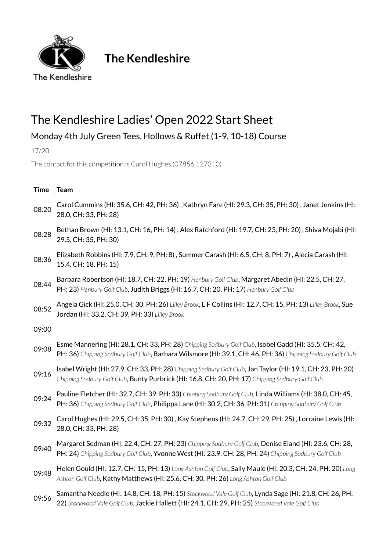

**The Kendleshire**

## The Kendleshire Ladies' Open 2022 Start Sheet

## Monday 4th July Green Tees, Hollows & Ruffet (1-9, 10-18) Course

17/20

The contact for this competition is [Carol Hughes](mailto:jeffandcas@hotmail.com) (07856 127310)

| <b>Time</b> | <b>Team</b>                                                                                                                                                                                                          |
|-------------|----------------------------------------------------------------------------------------------------------------------------------------------------------------------------------------------------------------------|
| 08:20       | Carol Cummins (HI: 35.6, CH: 42, PH: 36), Kathryn Fare (HI: 29.3, CH: 35, PH: 30), Janet Jenkins (HI:<br>28.0, CH: 33, PH: 28)                                                                                       |
| 08:28       | Bethan Brown (HI: 13.1, CH: 16, PH: 14), Alex Ratchford (HI: 19.7, CH: 23, PH: 20), Shiva Mojabi (HI:<br>29.5, CH: 35, PH: 30)                                                                                       |
| 08:36       | Elizabeth Robbins (HI: 7.9, CH: 9, PH: 8), Summer Carash (HI: 6.5, CH: 8, PH: 7), Alecia Carash (HI:<br>15.4, CH: 18, PH: 15)                                                                                        |
| 08:44       | Barbara Robertson (HI: 18.7, CH: 22, PH: 19) Henbury Golf Club, Margaret Abedin (HI: 22.5, CH: 27,<br>PH: 23) Henbury Golf Club, Judith Briggs (HI: 16.7, CH: 20, PH: 17) Henbury Golf Club                          |
| 08:52       | Angela Gick (HI: 25.0, CH: 30, PH: 26) Lilley Brook, L F Collins (HI: 12.7, CH: 15, PH: 13) Lilley Brook, Sue<br>Jordan (HI: 33.2, CH: 39, PH: 33) Lilley Brook                                                      |
| 09:00       |                                                                                                                                                                                                                      |
| 09:08       | Esme Mannering (HI: 28.1, CH: 33, PH: 28) Chipping Sodbury Golf Club, Isobel Gadd (HI: 35.5, CH: 42,<br>PH: 36) Chipping Sodbury Golf Club, Barbara Wilsmore (HI: 39.1, CH: 46, PH: 36) Chipping Sodbury Golf Club   |
| 09:16       | Isabel Wright (HI: 27.9, CH: 33, PH: 28) Chipping Sodbury Golf Club, Jan Taylor (HI: 19.1, CH: 23, PH: 20)<br>Chipping Sodbury Golf Club, Bunty Purbrick (HI: 16.8, CH: 20, PH: 17) Chipping Sodbury Golf Club       |
| 09:24       | Pauline Fletcher (HI: 32.7, CH: 39, PH: 33) Chipping Sodbury Golf Club, Linda Williams (HI: 38.0, CH: 45,<br>PH: 36) Chipping Sodbury Golf Club, Philippa Lane (HI: 30.2, CH: 36, PH: 31) Chipping Sodbury Golf Club |
| 09:32       | Carol Hughes (HI: 29.5, CH: 35, PH: 30), Kay Stephens (HI: 24.7, CH: 29, PH: 25), Lorraine Lewis (HI:<br>28.0, CH: 33, PH: 28)                                                                                       |
| 09:40       | Margaret Sedman (HI: 22.4, CH: 27, PH: 23) Chipping Sodbury Golf Club, Denise Eland (HI: 23.6, CH: 28,<br>PH: 24) Chipping Sodbury Golf Club, Yvonne West (HI: 23.9, CH: 28, PH: 24) Chipping Sodbury Golf Club      |
| 09:48       | Helen Gould (HI: 12.7, CH: 15, PH: 13) Long Ashton Golf Club, Sally Maule (HI: 20.3, CH: 24, PH: 20) Long<br>Ashton Golf Club, Kathy Matthews (HI: 25.6, CH: 30, PH: 26) Long Ashton Golf Club                       |
| 09:56       | Samantha Needle (HI: 14.8, CH: 18, PH: 15) Stockwood Vale Golf Club, Lynda Sage (HI: 21.8, CH: 26, PH:<br>22) Stockwood Vale Golf Club, Jackie Hallett (HI: 24.1, CH: 29, PH: 25) Stockwood Vale Golf Club           |
|             |                                                                                                                                                                                                                      |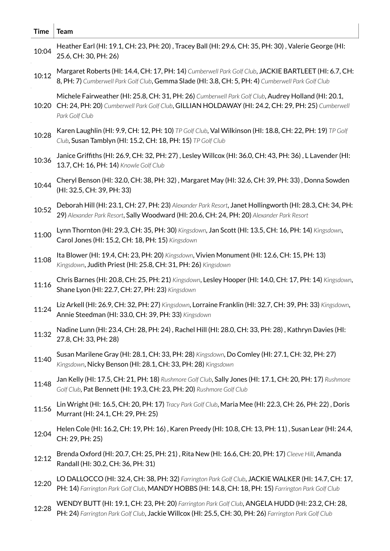| <b>Time</b> | <b>Team</b>                                                                                                                                                                                                                |
|-------------|----------------------------------------------------------------------------------------------------------------------------------------------------------------------------------------------------------------------------|
| 10:04       | Heather Earl (HI: 19.1, CH: 23, PH: 20), Tracey Ball (HI: 29.6, CH: 35, PH: 30), Valerie George (HI:<br>25.6, CH: 30, PH: 26)                                                                                              |
| 10:12       | Margaret Roberts (HI: 14.4, CH: 17, PH: 14) Cumberwell Park Golf Club, JACKIE BARTLEET (HI: 6.7, CH:<br>8, PH: 7) Cumberwell Park Golf Club, Gemma Slade (HI: 3.8, CH: 5, PH: 4) Cumberwell Park Golf Club                 |
| 10:20       | Michele Fairweather (HI: 25.8, CH: 31, PH: 26) Cumberwell Park Golf Club, Audrey Holland (HI: 20.1,<br>CH: 24, PH: 20) Cumberwell Park Golf Club, GILLIAN HOLDAWAY (HI: 24.2, CH: 29, PH: 25) Cumberwell<br>Park Golf Club |
| 10:28       | Karen Laughlin (HI: 9.9, CH: 12, PH: 10) TP Golf Club, Val Wilkinson (HI: 18.8, CH: 22, PH: 19) TP Golf<br>Club, Susan Tamblyn (HI: 15.2, CH: 18, PH: 15) TP Golf Club                                                     |
| 10:36       | Janice Griffiths (HI: 26.9, CH: 32, PH: 27), Lesley Willcox (HI: 36.0, CH: 43, PH: 36), L Lavender (HI:<br>13.7, CH: 16, PH: 14) Knowle Golf Club                                                                          |
| 10:44       | Cheryl Benson (HI: 32.0, CH: 38, PH: 32), Margaret May (HI: 32.6, CH: 39, PH: 33), Donna Sowden<br>(HI: 32.5, CH: 39, PH: 33)                                                                                              |
| 10:52       | Deborah Hill (HI: 23.1, CH: 27, PH: 23) Alexander Park Resort, Janet Hollingworth (HI: 28.3, CH: 34, PH:<br>29) Alexander Park Resort, Sally Woodward (HI: 20.6, CH: 24, PH: 20) Alexander Park Resort                     |
| 11:00       | Lynn Thornton (HI: 29.3, CH: 35, PH: 30) Kingsdown, Jan Scott (HI: 13.5, CH: 16, PH: 14) Kingsdown,<br>Carol Jones (HI: 15.2, CH: 18, PH: 15) Kingsdown                                                                    |
| 11:08       | Ita Blower (HI: 19.4, CH: 23, PH: 20) Kingsdown, Vivien Monument (HI: 12.6, CH: 15, PH: 13)<br>Kingsdown, Judith Priest (HI: 25.8, CH: 31, PH: 26) Kingsdown                                                               |
| 11:16       | Chris Barnes (HI: 20.8, CH: 25, PH: 21) Kingsdown, Lesley Hooper (HI: 14.0, CH: 17, PH: 14) Kingsdown,<br>Shane Lyon (HI: 22.7, CH: 27, PH: 23) Kingsdown                                                                  |
| 11:24       | Liz Arkell (HI: 26.9, CH: 32, PH: 27) Kingsdown, Lorraine Franklin (HI: 32.7, CH: 39, PH: 33) Kingsdown,<br>Annie Steedman (HI: 33.0, CH: 39, PH: 33) Kingsdown                                                            |
| 11:32       | Nadine Lunn (HI: 23.4, CH: 28, PH: 24), Rachel Hill (HI: 28.0, CH: 33, PH: 28), Kathryn Davies (HI:<br>27.8, CH: 33, PH: 28)                                                                                               |
| 11:40       | Susan Marilene Gray (HI: 28.1, CH: 33, PH: 28) Kingsdown, Do Comley (HI: 27.1, CH: 32, PH: 27)<br>Kingsdown, Nicky Benson (HI: 28.1, CH: 33, PH: 28) Kingsdown                                                             |
| 11:48       | Jan Kelly (HI: 17.5, CH: 21, PH: 18) Rushmore Golf Club, Sally Jones (HI: 17.1, CH: 20, PH: 17) Rushmore<br>Golf Club, Pat Bennett (HI: 19.3, CH: 23, PH: 20) Rushmore Golf Club                                           |
| 11:56       | Lin Wright (HI: 16.5, CH: 20, PH: 17) Tracy Park Golf Club, Maria Mee (HI: 22.3, CH: 26, PH: 22), Doris<br>Murrant (HI: 24.1, CH: 29, PH: 25)                                                                              |
| 12:04       | Helen Cole (HI: 16.2, CH: 19, PH: 16), Karen Preedy (HI: 10.8, CH: 13, PH: 11), Susan Lear (HI: 24.4,<br>CH: 29, PH: 25)                                                                                                   |
| 12:12       | Brenda Oxford (HI: 20.7, CH: 25, PH: 21), Rita New (HI: 16.6, CH: 20, PH: 17) Cleeve Hill, Amanda<br>Randall (HI: 30.2, CH: 36, PH: 31)                                                                                    |
| 12:20       | LO DALLOCCO (HI: 32.4, CH: 38, PH: 32) Farrington Park Golf Club, JACKIE WALKER (HI: 14.7, CH: 17,<br>PH: 14) Farrington Park Golf Club, MANDY HOBBS (HI: 14.8, CH: 18, PH: 15) Farrington Park Golf Club                  |
| 12:28       | WENDY BUTT (HI: 19.1, CH: 23, PH: 20) Farrington Park Golf Club, ANGELA HUDD (HI: 23.2, CH: 28,<br>PH: 24) Farrington Park Golf Club, Jackie Willcox (HI: 25.5, CH: 30, PH: 26) Farrington Park Golf Club                  |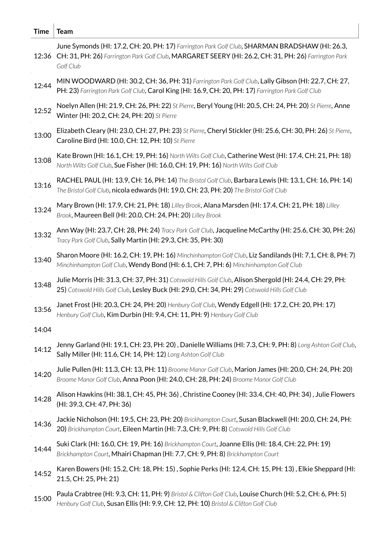| <b>Time</b> | <b>Team</b>                                                                                                                                                                                                               |
|-------------|---------------------------------------------------------------------------------------------------------------------------------------------------------------------------------------------------------------------------|
|             | June Symonds (HI: 17.2, CH: 20, PH: 17) Farrington Park Golf Club, SHARMAN BRADSHAW (HI: 26.3,<br>12:36 CH: 31, PH: 26) Farrington Park Golf Club, MARGARET SEERY (HI: 26.2, CH: 31, PH: 26) Farrington Park<br>Golf Club |
| 12:44       | MIN WOODWARD (HI: 30.2, CH: 36, PH: 31) Farrington Park Golf Club, Lally Gibson (HI: 22.7, CH: 27,<br>PH: 23) Farrington Park Golf Club, Carol King (HI: 16.9, CH: 20, PH: 17) Farrington Park Golf Club                  |
| 12:52       | Noelyn Allen (HI: 21.9, CH: 26, PH: 22) St Pierre, Beryl Young (HI: 20.5, CH: 24, PH: 20) St Pierre, Anne<br>Winter (HI: 20.2, CH: 24, PH: 20) St Pierre                                                                  |
| 13:00       | Elizabeth Cleary (HI: 23.0, CH: 27, PH: 23) St Pierre, Cheryl Stickler (HI: 25.6, CH: 30, PH: 26) St Pierre,<br>Caroline Bird (HI: 10.0, CH: 12, PH: 10) St Pierre                                                        |
| 13:08       | Kate Brown (HI: 16.1, CH: 19, PH: 16) North Wilts Golf Club, Catherine West (HI: 17.4, CH: 21, PH: 18)<br>North Wilts Golf Club, Sue Fisher (HI: 16.0, CH: 19, PH: 16) North Wilts Golf Club                              |
| 13:16       | RACHEL PAUL (HI: 13.9, CH: 16, PH: 14) The Bristol Golf Club, Barbara Lewis (HI: 13.1, CH: 16, PH: 14)<br>The Bristol Golf Club, nicola edwards (HI: 19.0, CH: 23, PH: 20) The Bristol Golf Club                          |
| 13:24       | Mary Brown (HI: 17.9, CH: 21, PH: 18) Lilley Brook, Alana Marsden (HI: 17.4, CH: 21, PH: 18) Lilley<br>Brook, Maureen Bell (HI: 20.0, CH: 24, PH: 20) Lilley Brook                                                        |
| 13:32       | Ann Way (HI: 23.7, CH: 28, PH: 24) Tracy Park Golf Club, Jacqueline McCarthy (HI: 25.6, CH: 30, PH: 26)<br>Tracy Park Golf Club, Sally Martin (HI: 29.3, CH: 35, PH: 30)                                                  |
| 13:40       | Sharon Moore (HI: 16.2, CH: 19, PH: 16) Minchinhampton Golf Club, Liz Sandilands (HI: 7.1, CH: 8, PH: 7)<br>Minchinhampton Golf Club, Wendy Bond (HI: 6.1, CH: 7, PH: 6) Minchinhampton Golf Club                         |
| 13:48       | Julie Morris (HI: 31.3, CH: 37, PH: 31) Cotswold Hills Golf Club, Alison Shergold (HI: 24.4, CH: 29, PH:<br>25) Cotswold Hills Golf Club, Lesley Buck (HI: 29.0, CH: 34, PH: 29) Cotswold Hills Golf Club                 |
| 13:56       | Janet Frost (HI: 20.3, CH: 24, PH: 20) Henbury Golf Club, Wendy Edgell (HI: 17.2, CH: 20, PH: 17)<br>Henbury Golf Club, Kim Durbin (HI: 9.4, CH: 11, PH: 9) Henbury Golf Club                                             |
| 14:04       |                                                                                                                                                                                                                           |
| 14:12       | Jenny Garland (HI: 19.1, CH: 23, PH: 20), Danielle Williams (HI: 7.3, CH: 9, PH: 8) Long Ashton Golf Club,<br>Sally Miller (HI: 11.6, CH: 14, PH: 12) Long Ashton Golf Club                                               |
| 14:20       | Julie Pullen (HI: 11.3, CH: 13, PH: 11) Broome Manor Golf Club, Marion James (HI: 20.0, CH: 24, PH: 20)<br>Broome Manor Golf Club, Anna Poon (HI: 24.0, CH: 28, PH: 24) Broome Manor Golf Club                            |
| 14:28       | Alison Hawkins (HI: 38.1, CH: 45, PH: 36), Christine Cooney (HI: 33.4, CH: 40, PH: 34), Julie Flowers<br>(HI: 39.3, CH: 47, PH: 36)                                                                                       |
| 14:36       | Jackie Nicholson (HI: 19.5, CH: 23, PH: 20) Brickhampton Court, Susan Blackwell (HI: 20.0, CH: 24, PH:<br>20) Brickhampton Court, Eileen Martin (HI: 7.3, CH: 9, PH: 8) Cotswold Hills Golf Club                          |
| 14:44       | Suki Clark (HI: 16.0, CH: 19, PH: 16) Brickhampton Court, Joanne Ellis (HI: 18.4, CH: 22, PH: 19)<br>Brickhampton Court, Mhairi Chapman (HI: 7.7, CH: 9, PH: 8) Brickhampton Court                                        |
| 14:52       | Karen Bowers (HI: 15.2, CH: 18, PH: 15), Sophie Perks (HI: 12.4, CH: 15, PH: 13), Elkie Sheppard (HI:<br>21.5, CH: 25, PH: 21)                                                                                            |
| 15:00       | Paula Crabtree (HI: 9.3, CH: 11, PH: 9) Bristol & Clifton Golf Club, Louise Church (HI: 5.2, CH: 6, PH: 5)<br>Henbury Golf Club, Susan Ellis (HI: 9.9, CH: 12, PH: 10) Bristol & Clifton Golf Club                        |
|             |                                                                                                                                                                                                                           |